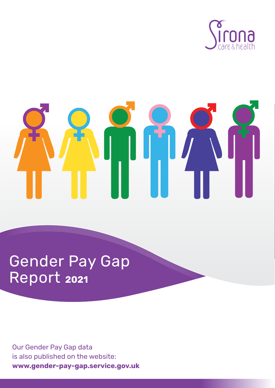

# Gender Pay Gap Report **<sup>2021</sup>**

Our Gender Pay Gap data is also published on the website: **www.gender-pay-gap.service.gov.uk**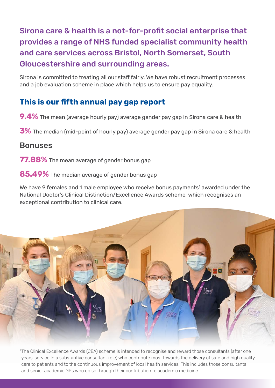# Sirona care & health is a not-for-profit social enterprise that provides a range of NHS funded specialist community health and care services across Bristol, North Somerset, South Gloucestershire and surrounding areas.

Sirona is committed to treating all our staff fairly. We have robust recruitment processes and a job evaluation scheme in place which helps us to ensure pay equality.

## **This is our fifth annual pay gap report**

**9.4%** The mean (average hourly pay) average gender pay gap in Sirona care & health

**3%** The median (mid-point of hourly pay) average gender pay gap in Sirona care & health

### Bonuses

**77.88%** The mean average of gender bonus gap

**85.49%** The median average of gender bonus gap

We have 9 females and 1 male employee who receive bonus payments<sup>1</sup> awarded under the National Doctor's Clinical Distinction/Excellence Awards scheme, which recognises an exceptional contribution to clinical care.



<sup>1</sup>The Clinical Excellence Awards (CEA) scheme is intended to recognise and reward those consultants (after one years' service in a substantive consultant role) who contribute most towards the delivery of safe and high quality care to patients and to the continuous improvement of local health services. This includes those consultants and senior academic GPs who do so through their contribution to academic medicine.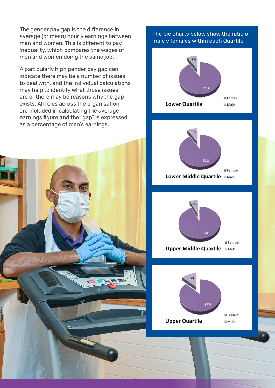The gender pay gap is the difference in average (or mean) hourly earnings between men and women. This is different to pay inequality, which compares the wages of men and women doing the same job.

A particularly high gender pay gap can indicate there may be a number of issues to deal with, and the individual calculations may help to identify what those issues are or there may be reasons why the gap exists. All roles across the organisation are included in calculating the average earnings figure and the "gap" is expressed as a percentage of men's earnings.



#### The pie charts below show the ratio of male v females within each Quartile

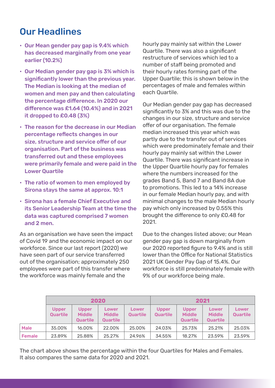# Our Headlines

- Our Mean gender pay gap is 9.4% which has decreased marginally from one year earlier (10.2%)
- Our Median gender pay gap is 3% which is significantly lower than the previous year. The Median is looking at the median of women and men pay and then calculating the percentage difference. In 2020 our difference was £1.64 (10.4%) and in 2021 it dropped to £0.48 (3%)
- The reason for the decrease in our Median percentage reflects changes in our size, structure and service offer of our organisation. Part of the business was transferred out and these employees were primarily female and were paid in the Lower Quartile
- The ratio of women to men employed by Sirona stays the same at approx. 10:1
- Sirona has a female Chief Executive and its Senior Leadership Team at the time the data was captured comprised 7 women and 2 men.

As an organisation we have seen the impact of Covid 19 and the economic impact on our workforce. Since our last report (2020) we have seen part of our service transferred out of the organisation; approximately 250 employees were part of this transfer where the workforce was mainly female and the

hourly pay mainly sat within the Lower Quartile. There was also a significant restructure of services which led to a number of staff being promoted and their hourly rates forming part of the Upper Quartile; this is shown below in the percentages of male and females within each Quartile.

Our Median gender pay gap has decreased significantly to 3% and this was due to the changes in our size, structure and service offer of our organisation. The female median increased this year which was partly due to the transfer out of services which were predominately female and their hourly pay mainly sat within the Lower Quartile. There was significant increase in the Upper Quartile hourly pay for females where the numbers increased for the grades Band 5, Band 7 and Band 8A due to promotions. This led to a 14% increase in our female Median hourly pay, and with minimal changes to the male Median hourly pay which only increased by 0.55% this brought the difference to only £0.48 for 2021.

Due to the changes listed above; our Mean gender pay gap is down marginally from our 2020 reported figure to 9.4% and is still lower than the Office for National Statistics 2021 UK Gender Pay Gap of 15.4%. Our workforce is still predominately female with 9% of our workforce being male.

|             | 2020                     |                                                  |                                           |                   | 2021                            |                                                  |                                           |                   |
|-------------|--------------------------|--------------------------------------------------|-------------------------------------------|-------------------|---------------------------------|--------------------------------------------------|-------------------------------------------|-------------------|
|             | <b>Upper</b><br>Quartile | <b>Upper</b><br><b>Middle</b><br><b>Quartile</b> | Lower<br><b>Middle</b><br><b>Quartile</b> | Lower<br>Quartile | <b>Upper</b><br><b>Quartile</b> | <b>Upper</b><br><b>Middle</b><br><b>Quartile</b> | Lower<br><b>Middle</b><br><b>Quartile</b> | Lower<br>Quartile |
| <b>Male</b> | 35.00%                   | 16.00%                                           | 22.00%                                    | 25.00%            | 24.03%                          | 25.73%                                           | 25.21%                                    | 25.03%            |
| Female      | 23.89%                   | 25.88%                                           | 25.27%                                    | 24.96%            | 34.55%                          | 18.27%                                           | 23.59%                                    | 23.59%            |

The chart above shows the percentage within the four Quartiles for Males and Females. It also compares the same data for 2020 and 2021.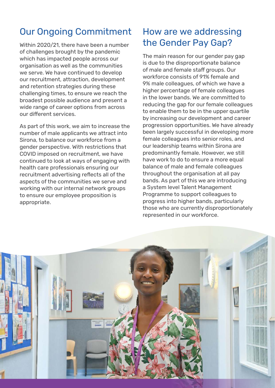# Our Ongoing Commitment

Within 2020/21, there have been a number of challenges brought by the pandemic which has impacted people across our organisation as well as the communities we serve. We have continued to develop our recruitment, attraction, development and retention strategies during these challenging times, to ensure we reach the broadest possible audience and present a wide range of career options from across our different services.

As part of this work, we aim to increase the number of male applicants we attract into Sirona, to balance our workforce from a gender perspective. With restrictions that COVID imposed on recruitment, we have continued to look at ways of engaging with health care professionals ensuring our recruitment advertising reflects all of the aspects of the communities we serve and working with our internal network groups to ensure our employee proposition is appropriate.

# How are we addressing the Gender Pay Gap?

The main reason for our gender pay gap is due to the disproportionate balance of male and female staff groups. Our workforce consists of 91% female and 9% male colleagues, of which we have a higher percentage of female colleagues in the lower bands. We are committed to reducing the gap for our female colleagues to enable them to be in the upper quartile by increasing our development and career progression opportunities. We have already been largely successful in developing more female colleagues into senior roles, and our leadership teams within Sirona are predominantly female. However, we still have work to do to ensure a more equal balance of male and female colleagues throughout the organisation at all pay bands. As part of this we are introducing a System level Talent Management Programme to support colleagues to progress into higher bands, particularly those who are currently disproportionately represented in our workforce.